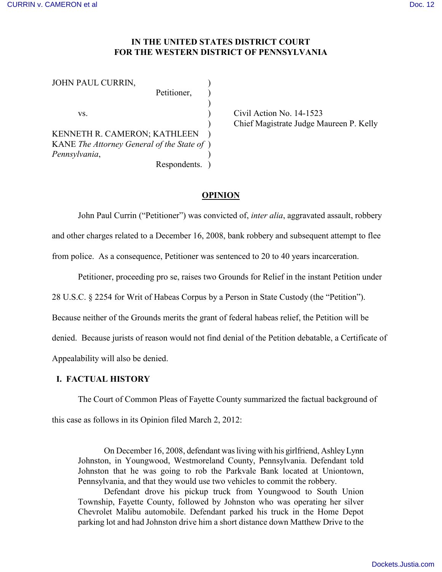## **IN THE UNITED STATES DISTRICT COURT FOR THE WESTERN DISTRICT OF PENNSYLVANIA**

| JOHN PAUL CURRIN,                           |              |  |
|---------------------------------------------|--------------|--|
|                                             | Petitioner,  |  |
|                                             |              |  |
| VS.                                         |              |  |
|                                             |              |  |
| KENNETH R. CAMERON; KATHLEEN                |              |  |
| KANE The Attorney General of the State of ) |              |  |
| Pennsylvania,                               |              |  |
|                                             | Respondents. |  |

Civil Action No.  $14-1523$ ) Chief Magistrate Judge Maureen P. Kelly

# **OPINION**

John Paul Currin ("Petitioner") was convicted of, *inter alia*, aggravated assault, robbery and other charges related to a December 16, 2008, bank robbery and subsequent attempt to flee from police. As a consequence, Petitioner was sentenced to 20 to 40 years incarceration.

Petitioner, proceeding pro se, raises two Grounds for Relief in the instant Petition under

28 U.S.C. § 2254 for Writ of Habeas Corpus by a Person in State Custody (the "Petition").

Because neither of the Grounds merits the grant of federal habeas relief, the Petition will be

denied. Because jurists of reason would not find denial of the Petition debatable, a Certificate of

Appealability will also be denied.

# **I. FACTUAL HISTORY**

The Court of Common Pleas of Fayette County summarized the factual background of

this case as follows in its Opinion filed March 2, 2012:

On December 16, 2008, defendant was living with his girlfriend, Ashley Lynn Johnston, in Youngwood, Westmoreland County, Pennsylvania. Defendant told Johnston that he was going to rob the Parkvale Bank located at Uniontown, Pennsylvania, and that they would use two vehicles to commit the robbery.

Defendant drove his pickup truck from Youngwood to South Union Township, Fayette County, followed by Johnston who was operating her silver Chevrolet Malibu automobile. Defendant parked his truck in the Home Depot parking lot and had Johnston drive him a short distance down Matthew Drive to the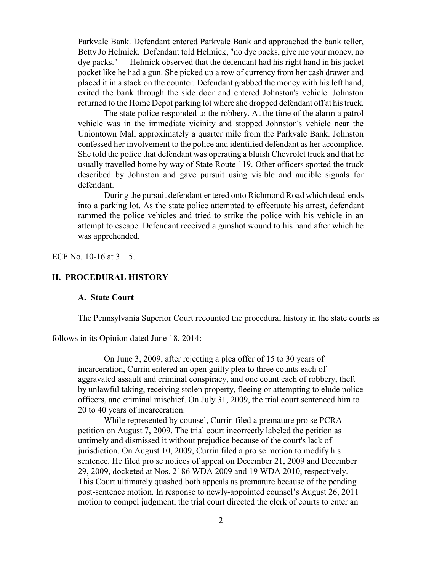Parkvale Bank. Defendant entered Parkvale Bank and approached the bank teller, Betty Jo Helmick. Defendant told Helmick, "no dye packs, give me your money, no dye packs." Helmick observed that the defendant had his right hand in his jacket pocket like he had a gun. She picked up a row of currency from her cash drawer and placed it in a stack on the counter. Defendant grabbed the money with his left hand, exited the bank through the side door and entered Johnston's vehicle. Johnston returned to the Home Depot parking lot where she dropped defendant off at his truck.

The state police responded to the robbery. At the time of the alarm a patrol vehicle was in the immediate vicinity and stopped Johnston's vehicle near the Uniontown Mall approximately a quarter mile from the Parkvale Bank. Johnston confessed her involvement to the police and identified defendant as her accomplice. She told the police that defendant was operating a bluish Chevrolet truck and that he usually travelled home by way of State Route 119. Other officers spotted the truck described by Johnston and gave pursuit using visible and audible signals for defendant.

During the pursuit defendant entered onto Richmond Road which dead-ends into a parking lot. As the state police attempted to effectuate his arrest, defendant rammed the police vehicles and tried to strike the police with his vehicle in an attempt to escape. Defendant received a gunshot wound to his hand after which he was apprehended.

ECF No. 10-16 at  $3 - 5$ .

### **II. PROCEDURAL HISTORY**

### **A. State Court**

The Pennsylvania Superior Court recounted the procedural history in the state courts as

follows in its Opinion dated June 18, 2014:

On June 3, 2009, after rejecting a plea offer of 15 to 30 years of incarceration, Currin entered an open guilty plea to three counts each of aggravated assault and criminal conspiracy, and one count each of robbery, theft by unlawful taking, receiving stolen property, fleeing or attempting to elude police officers, and criminal mischief. On July 31, 2009, the trial court sentenced him to 20 to 40 years of incarceration.

While represented by counsel, Currin filed a premature pro se PCRA petition on August 7, 2009. The trial court incorrectly labeled the petition as untimely and dismissed it without prejudice because of the court's lack of jurisdiction. On August 10, 2009, Currin filed a pro se motion to modify his sentence. He filed pro se notices of appeal on December 21, 2009 and December 29, 2009, docketed at Nos. 2186 WDA 2009 and 19 WDA 2010, respectively. This Court ultimately quashed both appeals as premature because of the pending post-sentence motion. In response to newly-appointed counsel's August 26, 2011 motion to compel judgment, the trial court directed the clerk of courts to enter an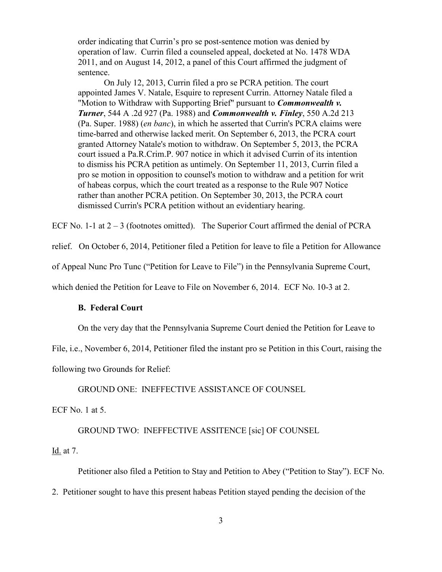order indicating that Currin's pro se post-sentence motion was denied by operation of law. Currin filed a counseled appeal, docketed at No. 1478 WDA 2011, and on August 14, 2012, a panel of this Court affirmed the judgment of sentence.

On July 12, 2013, Currin filed a pro se PCRA petition. The court appointed James V. Natale, Esquire to represent Currin. Attorney Natale filed a "Motion to Withdraw with Supporting Brief" pursuant to *Commonwealth v. Turner*, 544 A .2d 927 (Pa. 1988) and *Commonwealth v. Finley*, 550 A.2d 213 (Pa. Super. 1988) (*en banc*), in which he asserted that Currin's PCRA claims were time-barred and otherwise lacked merit. On September 6, 2013, the PCRA court granted Attorney Natale's motion to withdraw. On September 5, 2013, the PCRA court issued a Pa.R.Crim.P. 907 notice in which it advised Currin of its intention to dismiss his PCRA petition as untimely. On September 11, 2013, Currin filed a pro se motion in opposition to counsel's motion to withdraw and a petition for writ of habeas corpus, which the court treated as a response to the Rule 907 Notice rather than another PCRA petition. On September 30, 2013, the PCRA court dismissed Currin's PCRA petition without an evidentiary hearing.

ECF No. 1-1 at  $2 - 3$  (footnotes omitted). The Superior Court affirmed the denial of PCRA

relief. On October 6, 2014, Petitioner filed a Petition for leave to file a Petition for Allowance

of Appeal Nunc Pro Tunc ("Petition for Leave to File") in the Pennsylvania Supreme Court,

which denied the Petition for Leave to File on November 6, 2014. ECF No. 10-3 at 2.

## **B. Federal Court**

On the very day that the Pennsylvania Supreme Court denied the Petition for Leave to

File, i.e., November 6, 2014, Petitioner filed the instant pro se Petition in this Court, raising the

following two Grounds for Relief:

GROUND ONE: INEFFECTIVE ASSISTANCE OF COUNSEL

ECF No. 1 at 5.

GROUND TWO: INEFFECTIVE ASSITENCE [sic] OF COUNSEL

## Id. at 7.

Petitioner also filed a Petition to Stay and Petition to Abey ("Petition to Stay"). ECF No.

2. Petitioner sought to have this present habeas Petition stayed pending the decision of the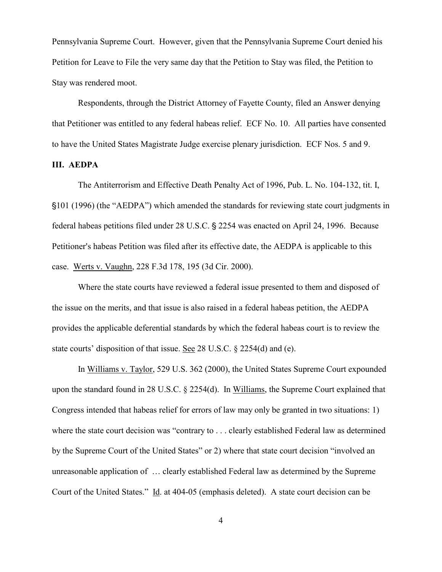Pennsylvania Supreme Court. However, given that the Pennsylvania Supreme Court denied his Petition for Leave to File the very same day that the Petition to Stay was filed, the Petition to Stay was rendered moot.

Respondents, through the District Attorney of Fayette County, filed an Answer denying that Petitioner was entitled to any federal habeas relief. ECF No. 10. All parties have consented to have the United States Magistrate Judge exercise plenary jurisdiction. ECF Nos. 5 and 9.

### **III. AEDPA**

The Antiterrorism and Effective Death Penalty Act of 1996, Pub. L. No. 104-132, tit. I, '101 (1996) (the "AEDPA") which amended the standards for reviewing state court judgments in federal habeas petitions filed under 28 U.S.C. § 2254 was enacted on April 24, 1996. Because Petitioner's habeas Petition was filed after its effective date, the AEDPA is applicable to this case. Werts v. Vaughn, 228 F.3d 178, 195 (3d Cir. 2000).

Where the state courts have reviewed a federal issue presented to them and disposed of the issue on the merits, and that issue is also raised in a federal habeas petition, the AEDPA provides the applicable deferential standards by which the federal habeas court is to review the state courts' disposition of that issue. See 28 U.S.C. § 2254(d) and (e).

In Williams v. Taylor, 529 U.S. 362 (2000), the United States Supreme Court expounded upon the standard found in 28 U.S.C. § 2254(d). In Williams, the Supreme Court explained that Congress intended that habeas relief for errors of law may only be granted in two situations: 1) where the state court decision was "contrary to . . . clearly established Federal law as determined by the Supreme Court of the United States" or 2) where that state court decision "involved an unreasonable application of … clearly established Federal law as determined by the Supreme Court of the United States." Id. at 404-05 (emphasis deleted). A state court decision can be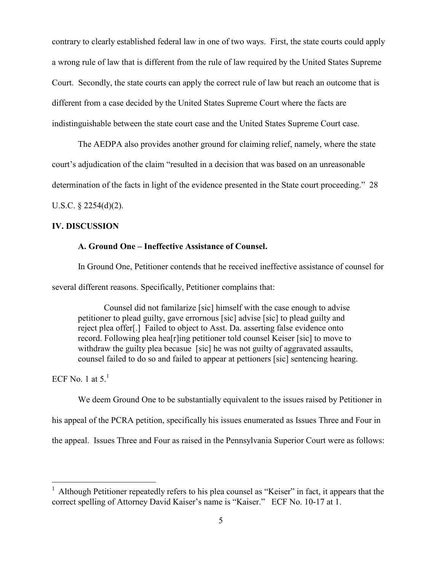contrary to clearly established federal law in one of two ways. First, the state courts could apply a wrong rule of law that is different from the rule of law required by the United States Supreme Court. Secondly, the state courts can apply the correct rule of law but reach an outcome that is different from a case decided by the United States Supreme Court where the facts are indistinguishable between the state court case and the United States Supreme Court case.

The AEDPA also provides another ground for claiming relief, namely, where the state court's adjudication of the claim "resulted in a decision that was based on an unreasonable determination of the facts in light of the evidence presented in the State court proceeding." 28

U.S.C.  $\S$  2254(d)(2).

# **IV. DISCUSSION**

# **A. Ground One – Ineffective Assistance of Counsel.**

In Ground One, Petitioner contends that he received ineffective assistance of counsel for several different reasons. Specifically, Petitioner complains that:

Counsel did not familarize [sic] himself with the case enough to advise petitioner to plead guilty, gave errornous [sic] advise [sic] to plead guilty and reject plea offer[.] Failed to object to Asst. Da. asserting false evidence onto record. Following plea hea[r]ing petitioner told counsel Keiser [sic] to move to withdraw the guilty plea becasue [sic] he was not guilty of aggravated assaults, counsel failed to do so and failed to appear at pettioners [sic] sentencing hearing.

ECF No. 1 at  $5<sup>1</sup>$ 

 $\overline{a}$ 

We deem Ground One to be substantially equivalent to the issues raised by Petitioner in his appeal of the PCRA petition, specifically his issues enumerated as Issues Three and Four in the appeal. Issues Three and Four as raised in the Pennsylvania Superior Court were as follows:

<sup>&</sup>lt;sup>1</sup> Although Petitioner repeatedly refers to his plea counsel as "Keiser" in fact, it appears that the correct spelling of Attorney David Kaiser's name is "Kaiser." ECF No. 10-17 at 1.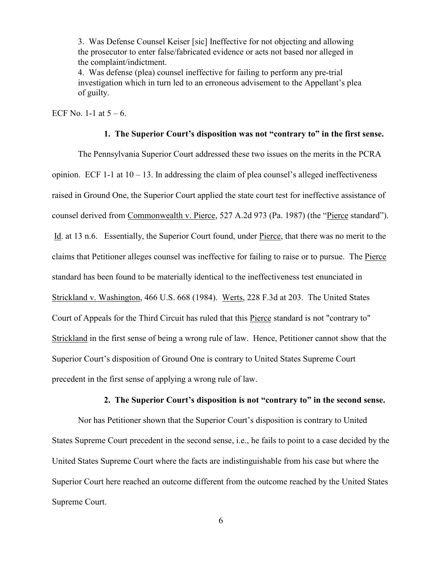3. Was Defense Counsel Keiser [sic] Ineffective for not objecting and allowing the prosecutor to enter false/fabricated evidence or acts not based nor alleged in the complaint/indictment.

4. Was defense (plea) counsel ineffective for failing to perform any pre-trial investigation which in turn led to an erroneous advisement to the Appellant's plea of guilty.

ECF No. 1-1 at  $5 - 6$ .

### **1. The Superior Court's disposition was not "contrary to" in the first sense.**

The Pennsylvania Superior Court addressed these two issues on the merits in the PCRA opinion. ECF 1-1 at  $10 - 13$ . In addressing the claim of plea counsel's alleged ineffectiveness raised in Ground One, the Superior Court applied the state court test for ineffective assistance of counsel derived from Commonwealth v. Pierce, 527 A.2d 973 (Pa. 1987) (the "Pierce standard"). Id. at 13 n.6. Essentially, the Superior Court found, under Pierce, that there was no merit to the claims that Petitioner alleges counsel was ineffective for failing to raise or to pursue. The Pierce standard has been found to be materially identical to the ineffectiveness test enunciated in Strickland v. Washington, 466 U.S. 668 (1984). Werts, 228 F.3d at 203. The United States Court of Appeals for the Third Circuit has ruled that this Pierce standard is not "contrary to" Strickland in the first sense of being a wrong rule of law. Hence, Petitioner cannot show that the Superior Court's disposition of Ground One is contrary to United States Supreme Court precedent in the first sense of applying a wrong rule of law.

#### **2. The Superior Court's disposition is not "contrary to" in the second sense.**

Nor has Petitioner shown that the Superior Court's disposition is contrary to United States Supreme Court precedent in the second sense, i.e., he fails to point to a case decided by the United States Supreme Court where the facts are indistinguishable from his case but where the Superior Court here reached an outcome different from the outcome reached by the United States Supreme Court.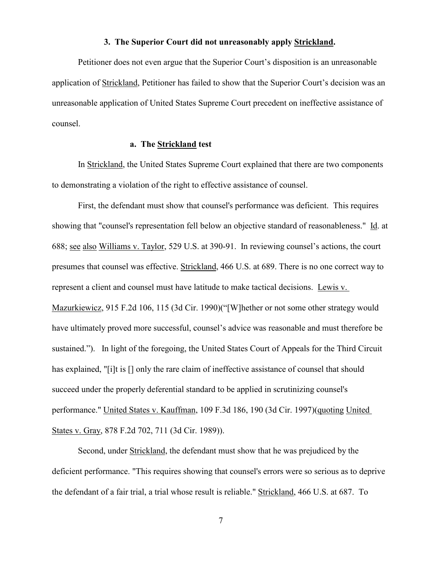#### **3. The Superior Court did not unreasonably apply Strickland.**

Petitioner does not even argue that the Superior Court's disposition is an unreasonable application of Strickland, Petitioner has failed to show that the Superior Court's decision was an unreasonable application of United States Supreme Court precedent on ineffective assistance of counsel.

## **a. The Strickland test**

In Strickland, the United States Supreme Court explained that there are two components to demonstrating a violation of the right to effective assistance of counsel.

First, the defendant must show that counsel's performance was deficient. This requires showing that "counsel's representation fell below an objective standard of reasonableness." Id. at 688; see also Williams v. Taylor, 529 U.S. at 390-91. In reviewing counsel's actions, the court presumes that counsel was effective. Strickland, 466 U.S. at 689. There is no one correct way to represent a client and counsel must have latitude to make tactical decisions. Lewis v. Mazurkiewicz, 915 F.2d 106, 115 (3d Cir. 1990)("[W]hether or not some other strategy would have ultimately proved more successful, counsel's advice was reasonable and must therefore be sustained."). In light of the foregoing, the United States Court of Appeals for the Third Circuit has explained, "[i]t is [] only the rare claim of ineffective assistance of counsel that should succeed under the properly deferential standard to be applied in scrutinizing counsel's performance." United States v. Kauffman, 109 F.3d 186, 190 (3d Cir. 1997)(quoting United States v. Gray, 878 F.2d 702, 711 (3d Cir. 1989)).

Second, under Strickland, the defendant must show that he was prejudiced by the deficient performance. "This requires showing that counsel's errors were so serious as to deprive the defendant of a fair trial, a trial whose result is reliable." Strickland, 466 U.S. at 687. To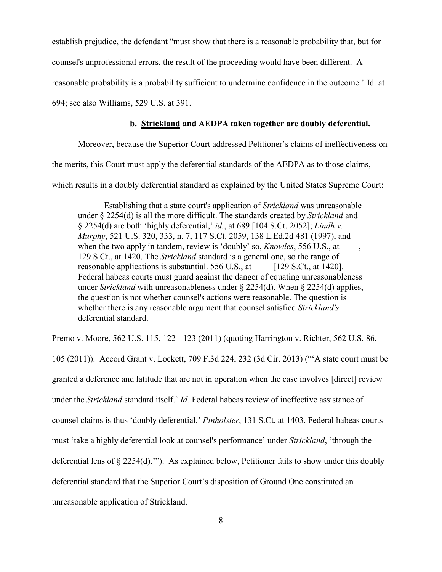establish prejudice, the defendant "must show that there is a reasonable probability that, but for

counsel's unprofessional errors, the result of the proceeding would have been different. A

reasonable probability is a probability sufficient to undermine confidence in the outcome." Id. at

694; see also Williams, 529 U.S. at 391.

# **b. Strickland and AEDPA taken together are doubly deferential.**

Moreover, because the Superior Court addressed Petitioner's claims of ineffectiveness on

the merits, this Court must apply the deferential standards of the AEDPA as to those claims,

which results in a doubly deferential standard as explained by the United States Supreme Court:

Establishing that a state court's application of *Strickland* was unreasonable under § 2254(d) is all the more difficult. The standards created by *Strickland* and § 2254(d) are both 'highly deferential,' *id.*, at 689 [104 S.Ct. 2052]; *Lindh v. Murphy*, 521 U.S. 320, 333, n. 7, 117 S.Ct. 2059, 138 L.Ed.2d 481 (1997), and when the two apply in tandem, review is 'doubly' so, *Knowles*, 556 U.S., at ——, 129 S.Ct., at 1420. The *Strickland* standard is a general one, so the range of reasonable applications is substantial. 556 U.S., at  $\frac{129 \text{ S.C.t.}}{129 \text{ S.C.t.}}$  at 1420]. Federal habeas courts must guard against the danger of equating unreasonableness under *Strickland* with unreasonableness under § 2254(d). When § 2254(d) applies, the question is not whether counsel's actions were reasonable. The question is whether there is any reasonable argument that counsel satisfied *Strickland's* deferential standard.

Premo v. Moore, 562 U.S. 115, 122 - 123 (2011) (quoting Harrington v. Richter, 562 U.S. 86,

105 (2011)). Accord Grant v. Lockett, 709 F.3d 224, 232 (3d Cir. 2013) ("'A state court must be granted a deference and latitude that are not in operation when the case involves [direct] review under the *Strickland* standard itself.' *Id.* Federal habeas review of ineffective assistance of counsel claims is thus 'doubly deferential.' *Pinholster*, 131 S.Ct. at 1403. Federal habeas courts must 'take a highly deferential look at counsel's performance' under *Strickland*, 'through the deferential lens of § 2254(d).'"). As explained below, Petitioner fails to show under this doubly deferential standard that the Superior Court's disposition of Ground One constituted an unreasonable application of Strickland.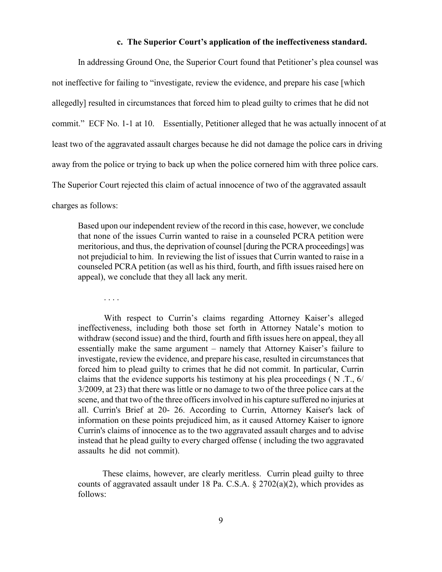#### **c. The Superior Court's application of the ineffectiveness standard.**

In addressing Ground One, the Superior Court found that Petitioner's plea counsel was not ineffective for failing to "investigate, review the evidence, and prepare his case [which allegedly] resulted in circumstances that forced him to plead guilty to crimes that he did not commit." ECF No. 1-1 at 10. Essentially, Petitioner alleged that he was actually innocent of at least two of the aggravated assault charges because he did not damage the police cars in driving away from the police or trying to back up when the police cornered him with three police cars. The Superior Court rejected this claim of actual innocence of two of the aggravated assault charges as follows:

Based upon our independent review of the record in this case, however, we conclude that none of the issues Currin wanted to raise in a counseled PCRA petition were meritorious, and thus, the deprivation of counsel [during the PCRA proceedings] was not prejudicial to him. In reviewing the list of issues that Currin wanted to raise in a counseled PCRA petition (as well as his third, fourth, and fifth issues raised here on appeal), we conclude that they all lack any merit.

. . . .

With respect to Currin's claims regarding Attorney Kaiser's alleged ineffectiveness, including both those set forth in Attorney Natale's motion to withdraw (second issue) and the third, fourth and fifth issues here on appeal, they all essentially make the same argument – namely that Attorney Kaiser's failure to investigate, review the evidence, and prepare his case, resulted in circumstances that forced him to plead guilty to crimes that he did not commit. In particular, Currin claims that the evidence supports his testimony at his plea proceedings ( N .T., 6/ 3/2009, at 23) that there was little or no damage to two of the three police cars at the scene, and that two of the three officers involved in his capture suffered no injuries at all. Currin's Brief at 20- 26. According to Currin, Attorney Kaiser's lack of information on these points prejudiced him, as it caused Attorney Kaiser to ignore Currin's claims of innocence as to the two aggravated assault charges and to advise instead that he plead guilty to every charged offense ( including the two aggravated assaults he did not commit).

These claims, however, are clearly meritless. Currin plead guilty to three counts of aggravated assault under 18 Pa. C.S.A.  $\S 2702(a)(2)$ , which provides as follows: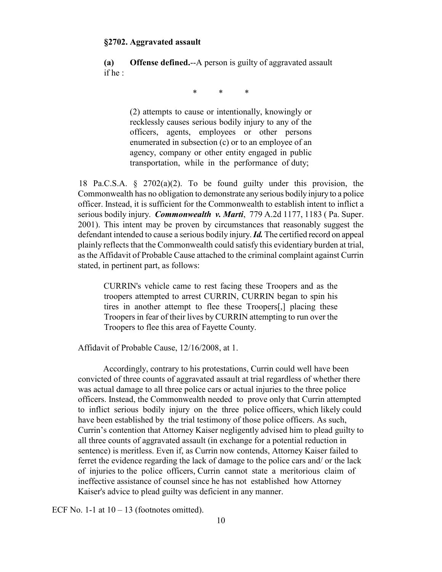#### **§2702. Aggravated assault**

**(a) Offense defined.**--A person is guilty of aggravated assault if he :

\* \* \*

(2) attempts to cause or intentionally, knowingly or recklessly causes serious bodily injury to any of the officers, agents, employees or other persons enumerated in subsection (c) or to an employee of an agency, company or other entity engaged in public transportation, while in the performance of duty;

18 Pa.C.S.A. § 2702(a)(2). To be found guilty under this provision, the Commonwealth has no obligation to demonstrate any serious bodily injury to a police officer. Instead, it is sufficient for the Commonwealth to establish intent to inflict a serious bodily injury. *Commonwealth v. Marti*, 779 A.2d 1177, 1183 ( Pa. Super. 2001). This intent may be proven by circumstances that reasonably suggest the defendant intended to cause a serious bodily injury. *Id.* The certified record on appeal plainly reflects that the Commonwealth could satisfy this evidentiary burden at trial, as the Affidavit of Probable Cause attached to the criminal complaint against Currin stated, in pertinent part, as follows:

CURRIN's vehicle came to rest facing these Troopers and as the troopers attempted to arrest CURRIN, CURRIN began to spin his tires in another attempt to flee these Troopers[,] placing these Troopers in fear of their lives by CURRIN attempting to run over the Troopers to flee this area of Fayette County.

Affidavit of Probable Cause, 12/16/2008, at 1.

Accordingly, contrary to his protestations, Currin could well have been convicted of three counts of aggravated assault at trial regardless of whether there was actual damage to all three police cars or actual injuries to the three police officers. Instead, the Commonwealth needed to prove only that Currin attempted to inflict serious bodily injury on the three police officers, which likely could have been established by the trial testimony of those police officers. As such, Currin's contention that Attorney Kaiser negligently advised him to plead guilty to all three counts of aggravated assault (in exchange for a potential reduction in sentence) is meritless. Even if, as Currin now contends, Attorney Kaiser failed to ferret the evidence regarding the lack of damage to the police cars and/ or the lack of injuries to the police officers, Currin cannot state a meritorious claim of ineffective assistance of counsel since he has not established how Attorney Kaiser's advice to plead guilty was deficient in any manner.

ECF No. 1-1 at  $10 - 13$  (footnotes omitted).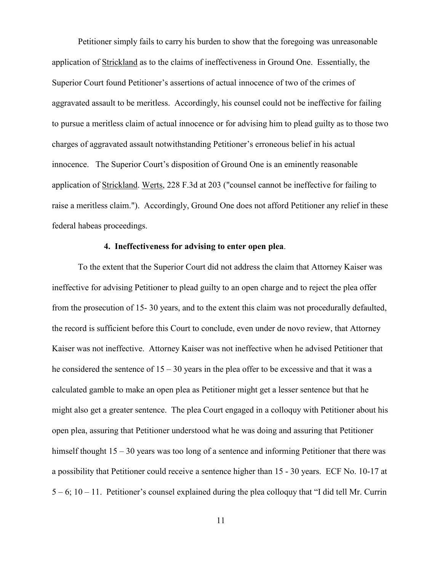Petitioner simply fails to carry his burden to show that the foregoing was unreasonable application of Strickland as to the claims of ineffectiveness in Ground One. Essentially, the Superior Court found Petitioner's assertions of actual innocence of two of the crimes of aggravated assault to be meritless. Accordingly, his counsel could not be ineffective for failing to pursue a meritless claim of actual innocence or for advising him to plead guilty as to those two charges of aggravated assault notwithstanding Petitioner's erroneous belief in his actual innocence. The Superior Court's disposition of Ground One is an eminently reasonable application of Strickland. Werts, 228 F.3d at 203 ("counsel cannot be ineffective for failing to raise a meritless claim."). Accordingly, Ground One does not afford Petitioner any relief in these federal habeas proceedings.

# **4. Ineffectiveness for advising to enter open plea**.

To the extent that the Superior Court did not address the claim that Attorney Kaiser was ineffective for advising Petitioner to plead guilty to an open charge and to reject the plea offer from the prosecution of 15- 30 years, and to the extent this claim was not procedurally defaulted, the record is sufficient before this Court to conclude, even under de novo review, that Attorney Kaiser was not ineffective. Attorney Kaiser was not ineffective when he advised Petitioner that he considered the sentence of  $15 - 30$  years in the plea offer to be excessive and that it was a calculated gamble to make an open plea as Petitioner might get a lesser sentence but that he might also get a greater sentence. The plea Court engaged in a colloquy with Petitioner about his open plea, assuring that Petitioner understood what he was doing and assuring that Petitioner himself thought 15 – 30 years was too long of a sentence and informing Petitioner that there was a possibility that Petitioner could receive a sentence higher than 15 - 30 years. ECF No. 10-17 at 5 – 6; 10 – 11. Petitioner's counsel explained during the plea colloquy that "I did tell Mr. Currin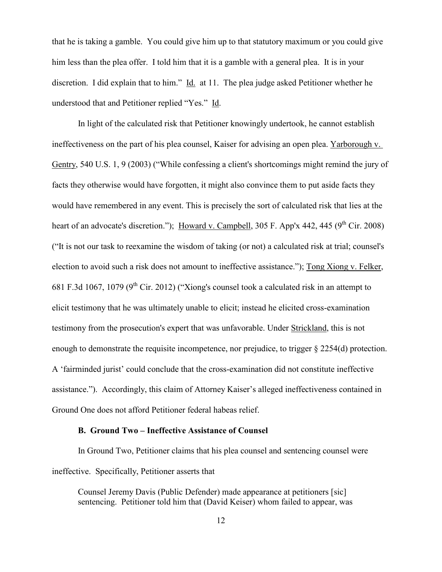that he is taking a gamble. You could give him up to that statutory maximum or you could give him less than the plea offer. I told him that it is a gamble with a general plea. It is in your discretion. I did explain that to him." Id. at 11. The plea judge asked Petitioner whether he understood that and Petitioner replied "Yes." Id.

In light of the calculated risk that Petitioner knowingly undertook, he cannot establish ineffectiveness on the part of his plea counsel, Kaiser for advising an open plea. Yarborough v. Gentry, 540 U.S. 1, 9 (2003) ("While confessing a client's shortcomings might remind the jury of facts they otherwise would have forgotten, it might also convince them to put aside facts they would have remembered in any event. This is precisely the sort of calculated risk that lies at the heart of an advocate's discretion."); Howard v. Campbell,  $305$  F. App'x 442, 445 (9<sup>th</sup> Cir. 2008) ("It is not our task to reexamine the wisdom of taking (or not) a calculated risk at trial; counsel's election to avoid such a risk does not amount to ineffective assistance."); Tong Xiong v. Felker, 681 F.3d 1067, 1079 ( $9<sup>th</sup>$  Cir. 2012) ("Xiong's counsel took a calculated risk in an attempt to elicit testimony that he was ultimately unable to elicit; instead he elicited cross-examination testimony from the prosecution's expert that was unfavorable. Under Strickland, this is not enough to demonstrate the requisite incompetence, nor prejudice, to trigger § 2254(d) protection. A 'fairminded jurist' could conclude that the cross-examination did not constitute ineffective assistance."). Accordingly, this claim of Attorney Kaiser's alleged ineffectiveness contained in Ground One does not afford Petitioner federal habeas relief.

# **B. Ground Two – Ineffective Assistance of Counsel**

In Ground Two, Petitioner claims that his plea counsel and sentencing counsel were ineffective. Specifically, Petitioner asserts that

Counsel Jeremy Davis (Public Defender) made appearance at petitioners [sic] sentencing. Petitioner told him that (David Keiser) whom failed to appear, was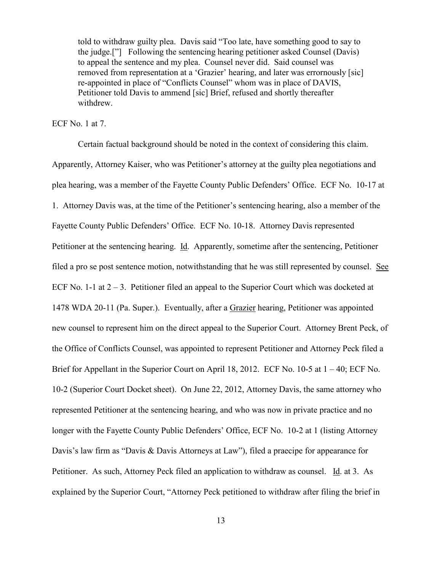told to withdraw guilty plea. Davis said "Too late, have something good to say to the judge.["] Following the sentencing hearing petitioner asked Counsel (Davis) to appeal the sentence and my plea. Counsel never did. Said counsel was removed from representation at a 'Grazier' hearing, and later was errornously [sic] re-appointed in place of "Conflicts Counsel" whom was in place of DAVIS, Petitioner told Davis to ammend [sic] Brief, refused and shortly thereafter withdrew.

### ECF No. 1 at 7.

Certain factual background should be noted in the context of considering this claim. Apparently, Attorney Kaiser, who was Petitioner's attorney at the guilty plea negotiations and plea hearing, was a member of the Fayette County Public Defenders' Office. ECF No. 10-17 at 1. Attorney Davis was, at the time of the Petitioner's sentencing hearing, also a member of the Fayette County Public Defenders' Office. ECF No. 10-18. Attorney Davis represented Petitioner at the sentencing hearing. Id. Apparently, sometime after the sentencing, Petitioner filed a pro se post sentence motion, notwithstanding that he was still represented by counsel. See ECF No. 1-1 at  $2 - 3$ . Petitioner filed an appeal to the Superior Court which was docketed at 1478 WDA 20-11 (Pa. Super.). Eventually, after a Grazier hearing, Petitioner was appointed new counsel to represent him on the direct appeal to the Superior Court. Attorney Brent Peck, of the Office of Conflicts Counsel, was appointed to represent Petitioner and Attorney Peck filed a Brief for Appellant in the Superior Court on April 18, 2012. ECF No. 10-5 at  $1 - 40$ ; ECF No. 10-2 (Superior Court Docket sheet). On June 22, 2012, Attorney Davis, the same attorney who represented Petitioner at the sentencing hearing, and who was now in private practice and no longer with the Fayette County Public Defenders' Office, ECF No. 10-2 at 1 (listing Attorney Davis's law firm as "Davis & Davis Attorneys at Law"), filed a praecipe for appearance for Petitioner. As such, Attorney Peck filed an application to withdraw as counsel. Id. at 3. As explained by the Superior Court, "Attorney Peck petitioned to withdraw after filing the brief in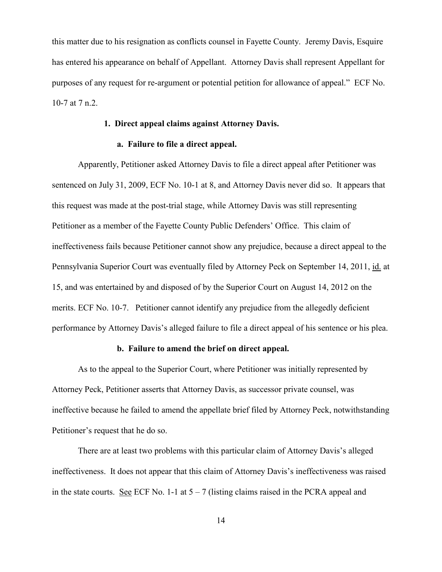this matter due to his resignation as conflicts counsel in Fayette County. Jeremy Davis, Esquire has entered his appearance on behalf of Appellant. Attorney Davis shall represent Appellant for purposes of any request for re-argument or potential petition for allowance of appeal." ECF No. 10-7 at 7 n.2.

## **1. Direct appeal claims against Attorney Davis.**

### **a. Failure to file a direct appeal.**

Apparently, Petitioner asked Attorney Davis to file a direct appeal after Petitioner was sentenced on July 31, 2009, ECF No. 10-1 at 8, and Attorney Davis never did so. It appears that this request was made at the post-trial stage, while Attorney Davis was still representing Petitioner as a member of the Fayette County Public Defenders' Office. This claim of ineffectiveness fails because Petitioner cannot show any prejudice, because a direct appeal to the Pennsylvania Superior Court was eventually filed by Attorney Peck on September 14, 2011, id. at 15, and was entertained by and disposed of by the Superior Court on August 14, 2012 on the merits. ECF No. 10-7. Petitioner cannot identify any prejudice from the allegedly deficient performance by Attorney Davis's alleged failure to file a direct appeal of his sentence or his plea.

## **b. Failure to amend the brief on direct appeal.**

As to the appeal to the Superior Court, where Petitioner was initially represented by Attorney Peck, Petitioner asserts that Attorney Davis, as successor private counsel, was ineffective because he failed to amend the appellate brief filed by Attorney Peck, notwithstanding Petitioner's request that he do so.

There are at least two problems with this particular claim of Attorney Davis's alleged ineffectiveness. It does not appear that this claim of Attorney Davis's ineffectiveness was raised in the state courts. See ECF No. 1-1 at  $5 - 7$  (listing claims raised in the PCRA appeal and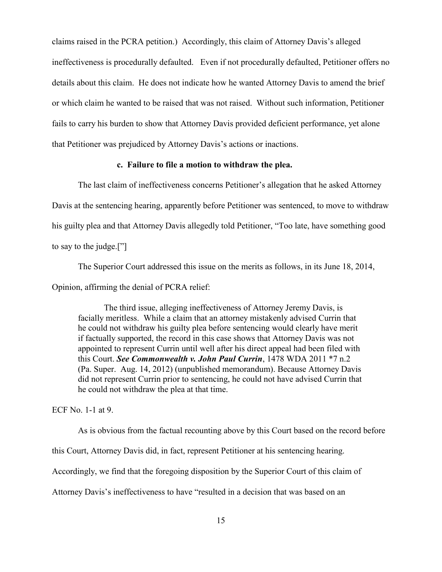claims raised in the PCRA petition.) Accordingly, this claim of Attorney Davis's alleged ineffectiveness is procedurally defaulted. Even if not procedurally defaulted, Petitioner offers no details about this claim. He does not indicate how he wanted Attorney Davis to amend the brief or which claim he wanted to be raised that was not raised. Without such information, Petitioner fails to carry his burden to show that Attorney Davis provided deficient performance, yet alone that Petitioner was prejudiced by Attorney Davis's actions or inactions.

### **c. Failure to file a motion to withdraw the plea.**

The last claim of ineffectiveness concerns Petitioner's allegation that he asked Attorney Davis at the sentencing hearing, apparently before Petitioner was sentenced, to move to withdraw his guilty plea and that Attorney Davis allegedly told Petitioner, "Too late, have something good to say to the judge.["]

The Superior Court addressed this issue on the merits as follows, in its June 18, 2014,

Opinion, affirming the denial of PCRA relief:

The third issue, alleging ineffectiveness of Attorney Jeremy Davis, is facially meritless. While a claim that an attorney mistakenly advised Currin that he could not withdraw his guilty plea before sentencing would clearly have merit if factually supported, the record in this case shows that Attorney Davis was not appointed to represent Currin until well after his direct appeal had been filed with this Court. *See Commonwealth v. John Paul Currin*, 1478 WDA 2011 \*7 n.2 (Pa. Super. Aug. 14, 2012) (unpublished memorandum). Because Attorney Davis did not represent Currin prior to sentencing, he could not have advised Currin that he could not withdraw the plea at that time.

ECF No. 1-1 at 9.

As is obvious from the factual recounting above by this Court based on the record before

this Court, Attorney Davis did, in fact, represent Petitioner at his sentencing hearing.

Accordingly, we find that the foregoing disposition by the Superior Court of this claim of

Attorney Davis's ineffectiveness to have "resulted in a decision that was based on an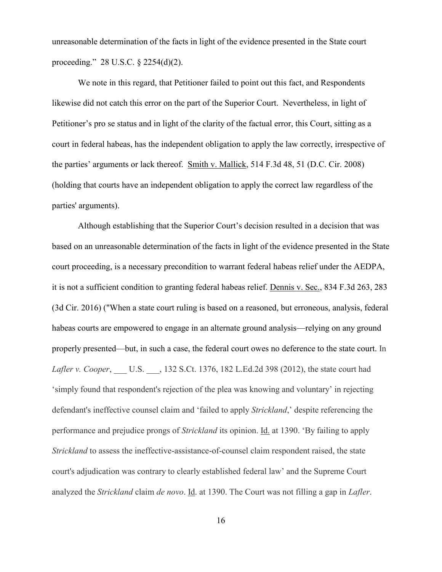unreasonable determination of the facts in light of the evidence presented in the State court proceeding." 28 U.S.C. § 2254(d)(2).

We note in this regard, that Petitioner failed to point out this fact, and Respondents likewise did not catch this error on the part of the Superior Court. Nevertheless, in light of Petitioner's pro se status and in light of the clarity of the factual error, this Court, sitting as a court in federal habeas, has the independent obligation to apply the law correctly, irrespective of the parties' arguments or lack thereof. Smith v. Mallick, 514 F.3d 48, 51 (D.C. Cir. 2008) (holding that courts have an independent obligation to apply the correct law regardless of the parties' arguments).

Although establishing that the Superior Court's decision resulted in a decision that was based on an unreasonable determination of the facts in light of the evidence presented in the State court proceeding, is a necessary precondition to warrant federal habeas relief under the AEDPA, it is not a sufficient condition to granting federal habeas relief. Dennis v. Sec., 834 F.3d 263, 283 (3d Cir. 2016) ("When a state court ruling is based on a reasoned, but erroneous, analysis, federal habeas courts are empowered to engage in an alternate ground analysis—relying on any ground properly presented—but, in such a case, the federal court owes no deference to the state court. In *Lafler v. Cooper*, \_\_\_ U.S. \_\_\_, 132 S.Ct. 1376, 182 L.Ed.2d 398 (2012), the state court had 'simply found that respondent's rejection of the plea was knowing and voluntary' in rejecting defendant's ineffective counsel claim and 'failed to apply *Strickland*,' despite referencing the performance and prejudice prongs of *Strickland* its opinion. Id. at 1390. 'By failing to apply *Strickland* to assess the ineffective-assistance-of-counsel claim respondent raised, the state court's adjudication was contrary to clearly established federal law' and the Supreme Court analyzed the *Strickland* claim *de novo*. Id. at 1390. The Court was not filling a gap in *Lafler*.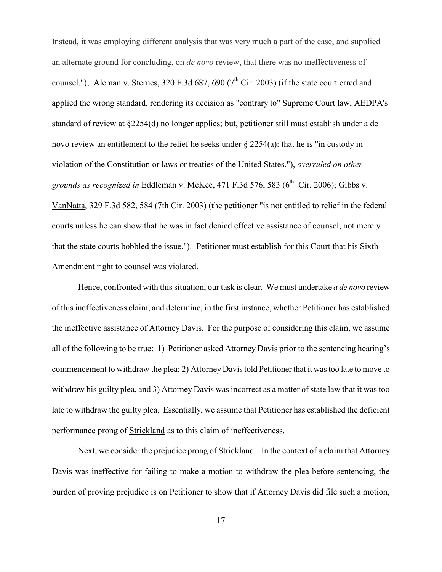Instead, it was employing different analysis that was very much a part of the case, and supplied an alternate ground for concluding, on *de novo* review, that there was no ineffectiveness of counsel."); Aleman v. Sternes,  $320$  F.3d 687, 690 ( $7<sup>th</sup>$  Cir. 2003) (if the state court erred and applied the wrong standard, rendering its decision as "contrary to" Supreme Court law, AEDPA's standard of review at §2254(d) no longer applies; but, petitioner still must establish under a de novo review an entitlement to the relief he seeks under § 2254(a): that he is "in custody in violation of the Constitution or laws or treaties of the United States."), *overruled on other grounds as recognized in* Eddleman v. McKee, 471 F.3d 576, 583 (6 th Cir. 2006); Gibbs v. VanNatta, 329 F.3d 582, 584 (7th Cir. 2003) (the petitioner "is not entitled to relief in the federal courts unless he can show that he was in fact denied effective assistance of counsel, not merely that the state courts bobbled the issue."). Petitioner must establish for this Court that his Sixth Amendment right to counsel was violated.

Hence, confronted with this situation, our task is clear. We must undertake *a de novo* review of this ineffectiveness claim, and determine, in the first instance, whether Petitioner has established the ineffective assistance of Attorney Davis. For the purpose of considering this claim, we assume all of the following to be true: 1) Petitioner asked Attorney Davis prior to the sentencing hearing's commencement to withdraw the plea; 2) Attorney Davis told Petitioner that it was too late to move to withdraw his guilty plea, and 3) Attorney Davis was incorrect as a matter of state law that it was too late to withdraw the guilty plea. Essentially, we assume that Petitioner has established the deficient performance prong of Strickland as to this claim of ineffectiveness.

Next, we consider the prejudice prong of Strickland. In the context of a claim that Attorney Davis was ineffective for failing to make a motion to withdraw the plea before sentencing, the burden of proving prejudice is on Petitioner to show that if Attorney Davis did file such a motion,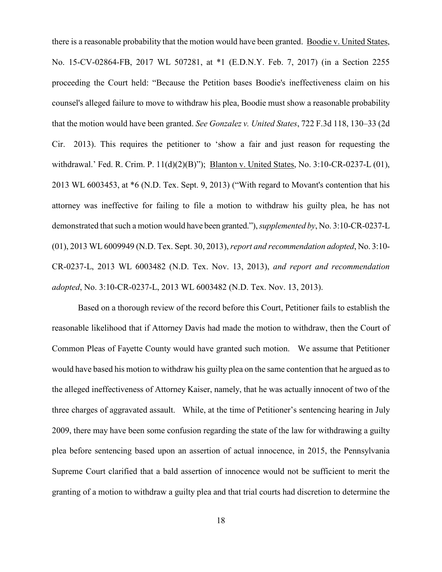there is a reasonable probability that the motion would have been granted. Boodie v. United States, No. 15-CV-02864-FB, 2017 WL 507281, at \*1 (E.D.N.Y. Feb. 7, 2017) (in a Section 2255 proceeding the Court held: "Because the Petition bases Boodie's ineffectiveness claim on his counsel's alleged failure to move to withdraw his plea, Boodie must show a reasonable probability that the motion would have been granted. *See Gonzalez v. United States*, 722 F.3d 118, 130–33 (2d Cir. 2013). This requires the petitioner to 'show a fair and just reason for requesting the withdrawal.' Fed. R. Crim. P. 11(d)(2)(B)"); Blanton v. United States, No. 3:10-CR-0237-L (01), 2013 WL 6003453, at \*6 (N.D. Tex. Sept. 9, 2013) ("With regard to Movant's contention that his attorney was ineffective for failing to file a motion to withdraw his guilty plea, he has not demonstrated that such a motion would have been granted."), *supplemented by*, No. 3:10-CR-0237-L (01), 2013 WL 6009949 (N.D. Tex. Sept. 30, 2013), *report and recommendation adopted*, No. 3:10- CR-0237-L, 2013 WL 6003482 (N.D. Tex. Nov. 13, 2013), *and report and recommendation adopted*, No. 3:10-CR-0237-L, 2013 WL 6003482 (N.D. Tex. Nov. 13, 2013).

Based on a thorough review of the record before this Court, Petitioner fails to establish the reasonable likelihood that if Attorney Davis had made the motion to withdraw, then the Court of Common Pleas of Fayette County would have granted such motion. We assume that Petitioner would have based his motion to withdraw his guilty plea on the same contention that he argued as to the alleged ineffectiveness of Attorney Kaiser, namely, that he was actually innocent of two of the three charges of aggravated assault. While, at the time of Petitioner's sentencing hearing in July 2009, there may have been some confusion regarding the state of the law for withdrawing a guilty plea before sentencing based upon an assertion of actual innocence, in 2015, the Pennsylvania Supreme Court clarified that a bald assertion of innocence would not be sufficient to merit the granting of a motion to withdraw a guilty plea and that trial courts had discretion to determine the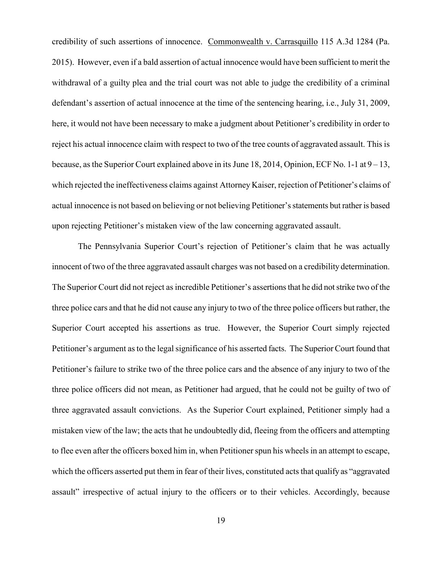credibility of such assertions of innocence. Commonwealth v. Carrasquillo 115 A.3d 1284 (Pa. 2015). However, even if a bald assertion of actual innocence would have been sufficient to merit the withdrawal of a guilty plea and the trial court was not able to judge the credibility of a criminal defendant's assertion of actual innocence at the time of the sentencing hearing, i.e., July 31, 2009, here, it would not have been necessary to make a judgment about Petitioner's credibility in order to reject his actual innocence claim with respect to two of the tree counts of aggravated assault. This is because, as the Superior Court explained above in its June 18, 2014, Opinion, ECF No. 1-1 at  $9-13$ , which rejected the ineffectiveness claims against Attorney Kaiser, rejection of Petitioner's claims of actual innocence is not based on believing or not believing Petitioner's statements but rather is based upon rejecting Petitioner's mistaken view of the law concerning aggravated assault.

The Pennsylvania Superior Court's rejection of Petitioner's claim that he was actually innocent of two of the three aggravated assault charges was not based on a credibility determination. The Superior Court did not reject as incredible Petitioner's assertions that he did not strike two of the three police cars and that he did not cause any injury to two of the three police officers but rather, the Superior Court accepted his assertions as true. However, the Superior Court simply rejected Petitioner's argument as to the legal significance of his asserted facts. The Superior Court found that Petitioner's failure to strike two of the three police cars and the absence of any injury to two of the three police officers did not mean, as Petitioner had argued, that he could not be guilty of two of three aggravated assault convictions. As the Superior Court explained, Petitioner simply had a mistaken view of the law; the acts that he undoubtedly did, fleeing from the officers and attempting to flee even after the officers boxed him in, when Petitioner spun his wheels in an attempt to escape, which the officers asserted put them in fear of their lives, constituted acts that qualify as "aggravated" assault" irrespective of actual injury to the officers or to their vehicles. Accordingly, because